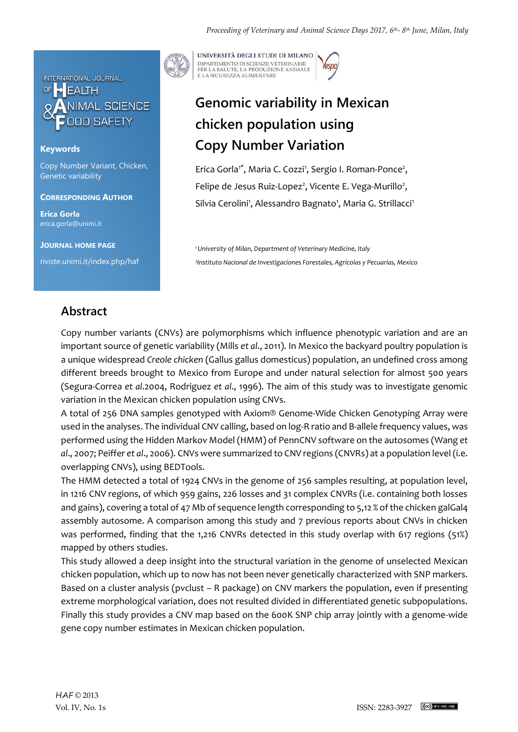

## **Keywords**

Copy Number Variant, Chicken, Genetic variability

### **CORRESPONDING AUTHOR**

**Erica Gorla** erica.gorla@unimi.it

**JOURNAL HOME PAGE**

riviste.unimi.it/index.php/haf

UNIVERSITÀ DEGLI STUDI DI MILANO DIPARTIMENTO DI SCIENZE VETERINARIE PER LA SALUTE, LA PRODUZIONE ANIMALE<br>E LA SICUREZZA ALIMENTARE

# **Genomic variability in Mexican chicken population using Copy Number Variation**

Erica Gorla<sup>1\*</sup>, Maria C. Cozzi<sup>1</sup>, Sergio I. Roman-Ponce<sup>2</sup>, Felipe de Jesus Ruiz-Lopez<sup>2</sup>, Vicente E. Vega-Murillo<sup>2</sup>, Silvia Cerolini<sup>1</sup>, Alessandro Bagnato<sup>1</sup>, Maria G. Strillacci<sup>1</sup>

*<sup>1</sup>University of Milan, Department of Veterinary Medicine, Italy 2 Instituto Nacional de Investigaciones Forestales, Agrícolas y Pecuarias, Mexico*

## **Abstract**

Copy number variants (CNVs) are polymorphisms which influence phenotypic variation and are an important source of genetic variability (Mills *et al*., 2011). In Mexico the backyard poultry population is a unique widespread *Creole chicken* (Gallus gallus domesticus) population, an undefined cross among different breeds brought to Mexico from Europe and under natural selection for almost 500 years (Segura-Correa *et al*.2004, Rodriguez *et al*., 1996). The aim of this study was to investigate genomic variation in the Mexican chicken population using CNVs.

A total of 256 DNA samples genotyped with Axiom® Genome-Wide Chicken Genotyping Array were used in the analyses. The individual CNV calling, based on log-R ratio and B-allele frequency values, was performed using the Hidden Markov Model (HMM) of PennCNV software on the autosomes (Wang *et al*., 2007; Peiffer *et al*., 2006). CNVs were summarized to CNV regions (CNVRs) at a population level (i.e. overlapping CNVs), using BEDTools.

The HMM detected a total of 1924 CNVs in the genome of 256 samples resulting, at population level, in 1216 CNV regions, of which 959 gains, 226 losses and 31 complex CNVRs (i.e. containing both losses and gains), covering a total of 47 Mb of sequence length corresponding to 5,12 % of the chicken galGal4 assembly autosome. A comparison among this study and 7 previous reports about CNVs in chicken was performed, finding that the 1,216 CNVRs detected in this study overlap with 617 regions (51%) mapped by others studies.

This study allowed a deep insight into the structural variation in the genome of unselected Mexican chicken population, which up to now has not been never genetically characterized with SNP markers. Based on a cluster analysis (pvclust – R package) on CNV markers the population, even if presenting extreme morphological variation, does not resulted divided in differentiated genetic subpopulations. Finally this study provides a CNV map based on the 600K SNP chip array jointly with a genome-wide gene copy number estimates in Mexican chicken population.